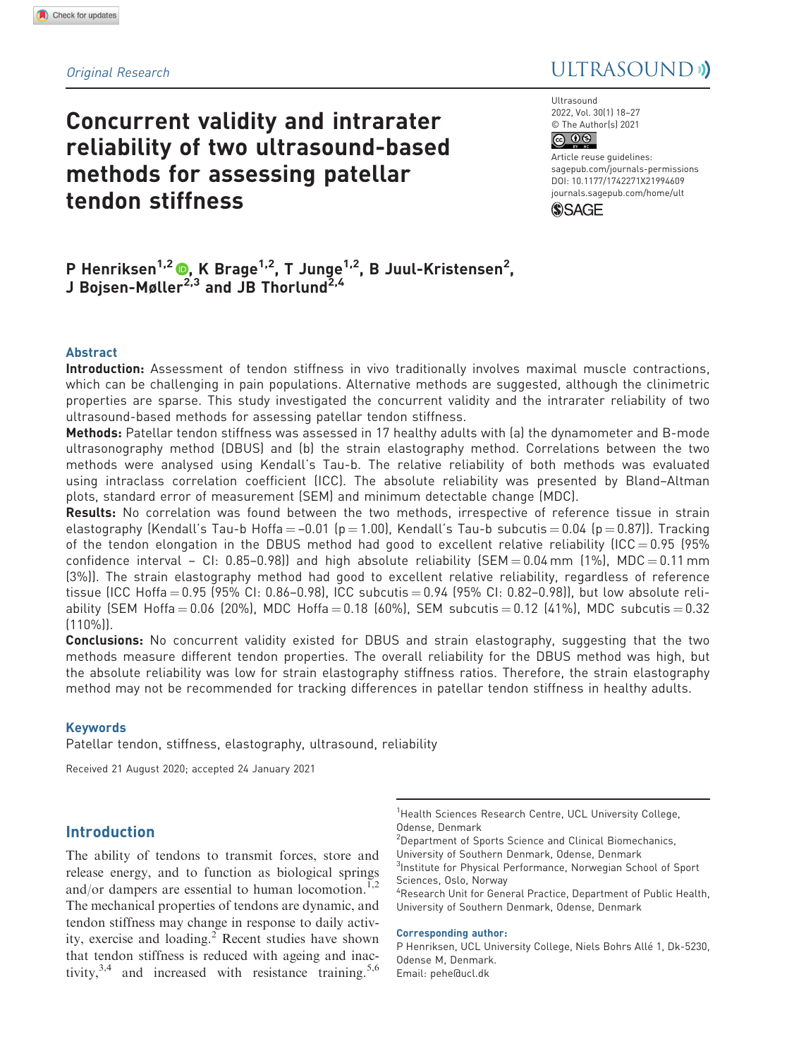# Concurrent validity and intrarater reliability of two ultrasound-based methods for assessing patellar tendon stiffness

# Original Research and *Decision and Decision* Buildings and Decision and Decision and Decision and Decision and Decision and Decision and Decision and Decision and Decision and Decision and Decision and Decision and Decisi

**Ultrasound** 2022, Vol. 30(1) 18–27 © The Author(s) 2021  $\circledcirc$   $\circledcirc$ 

DOI: 10.1177/1742271X21994609 Article reuse guidelines: [sagepub.com/journals-permissions](https://uk.sagepub.com/en-gb/journals-permissions) [journals.sagepub.com/home/ult](https://journals.sagepub.com/home/ult)



# P Henriksen<sup>1,2</sup> (®, K Brage<sup>1,2</sup>, T Junge<sup>1,2</sup>, B Juul-Kristensen<sup>2</sup>, J Bojsen-Møller<sup>2,3</sup> and JB Thorlund<sup>2,4</sup>

# Abstract

Introduction: Assessment of tendon stiffness in vivo traditionally involves maximal muscle contractions, which can be challenging in pain populations. Alternative methods are suggested, although the clinimetric properties are sparse. This study investigated the concurrent validity and the intrarater reliability of two ultrasound-based methods for assessing patellar tendon stiffness.

Methods: Patellar tendon stiffness was assessed in 17 healthy adults with (a) the dynamometer and B-mode ultrasonography method (DBUS) and (b) the strain elastography method. Correlations between the two methods were analysed using Kendall's Tau-b. The relative reliability of both methods was evaluated using intraclass correlation coefficient (ICC). The absolute reliability was presented by Bland–Altman plots, standard error of measurement (SEM) and minimum detectable change (MDC).

Results: No correlation was found between the two methods, irrespective of reference tissue in strain elastography (Kendall's Tau-b Hoffa  $=$  –0.01 (p  $=$  1.00), Kendall's Tau-b subcutis  $=$  0.04 (p  $=$  0.87)). Tracking of the tendon elongation in the DBUS method had good to excellent relative reliability (ICC = 0.95 (95%) confidence interval – CI:  $0.85-0.98$ ] and high absolute reliability (SEM =  $0.04$  mm (1%), MDC =  $0.11$  mm (3%)). The strain elastography method had good to excellent relative reliability, regardless of reference tissue (ICC Hoffa = 0.95 (95% CI: 0.86-0.98), ICC subcutis = 0.94 (95% CI: 0.82-0.98)), but low absolute reliability (SEM Hoffa = 0.06 (20%), MDC Hoffa = 0.18 (60%), SEM subcutis = 0.12 (41%), MDC subcutis = 0.32 (110%)).

**Conclusions:** No concurrent validity existed for DBUS and strain elastography, suggesting that the two methods measure different tendon properties. The overall reliability for the DBUS method was high, but the absolute reliability was low for strain elastography stiffness ratios. Therefore, the strain elastography method may not be recommended for tracking differences in patellar tendon stiffness in healthy adults.

## Keywords

Patellar tendon, stiffness, elastography, ultrasound, reliability

Received 21 August 2020; accepted 24 January 2021

# Introduction

The ability of tendons to transmit forces, store and release energy, and to function as biological springs and/or dampers are essential to human locomotion. $^{1,2}$ The mechanical properties of tendons are dynamic, and tendon stiffness may change in response to daily activity, exercise and loading.<sup>2</sup> Recent studies have shown that tendon stiffness is reduced with ageing and inactivity,  $3,4$  and increased with resistance training.  $5,6$  <sup>1</sup>Health Sciences Research Centre, UCL University College, Odense, Denmark

<sup>2</sup>Department of Sports Science and Clinical Biomechanics, University of Southern Denmark, Odense, Denmark <sup>3</sup>Institute for Physical Performance, Norwegian School of Sport Sciences, Oslo, Norway

4 Research Unit for General Practice, Department of Public Health, University of Southern Denmark, Odense, Denmark

#### Corresponding author:

P Henriksen, UCL University College, Niels Bohrs Allé 1, Dk-5230, Odense M, Denmark. Email: pehe@ucl.dk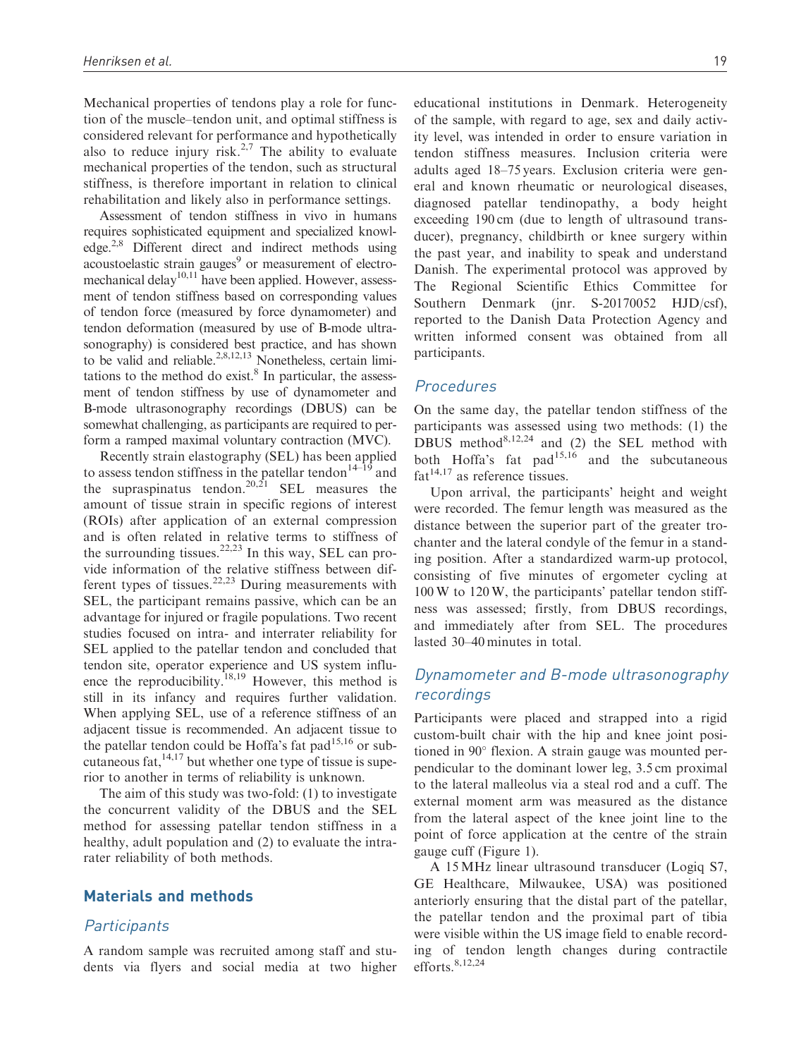Mechanical properties of tendons play a role for function of the muscle–tendon unit, and optimal stiffness is considered relevant for performance and hypothetically also to reduce injury risk.<sup>2,7</sup> The ability to evaluate mechanical properties of the tendon, such as structural stiffness, is therefore important in relation to clinical rehabilitation and likely also in performance settings.

Assessment of tendon stiffness in vivo in humans requires sophisticated equipment and specialized knowledge.<sup>2,8</sup> Different direct and indirect methods using acoustoelastic strain gauges $9$  or measurement of electromechanical delay<sup>10,11</sup> have been applied. However, assessment of tendon stiffness based on corresponding values of tendon force (measured by force dynamometer) and tendon deformation (measured by use of B-mode ultrasonography) is considered best practice, and has shown to be valid and reliable.<sup>2,8,12,13</sup> Nonetheless, certain limitations to the method do exist. $8$  In particular, the assessment of tendon stiffness by use of dynamometer and B-mode ultrasonography recordings (DBUS) can be somewhat challenging, as participants are required to perform a ramped maximal voluntary contraction (MVC).

Recently strain elastography (SEL) has been applied to assess tendon stiffness in the patellar tendon<sup>14–19</sup> and the supraspinatus tendon.<sup>20,21</sup> SEL measures the amount of tissue strain in specific regions of interest (ROIs) after application of an external compression and is often related in relative terms to stiffness of the surrounding tissues.<sup>22,23</sup> In this way, SEL can provide information of the relative stiffness between different types of tissues.<sup>22,23</sup> During measurements with SEL, the participant remains passive, which can be an advantage for injured or fragile populations. Two recent studies focused on intra- and interrater reliability for SEL applied to the patellar tendon and concluded that tendon site, operator experience and US system influence the reproducibility.<sup>18,19</sup> However, this method is still in its infancy and requires further validation. When applying SEL, use of a reference stiffness of an adjacent tissue is recommended. An adjacent tissue to the patellar tendon could be Hoffa's fat pad $15,16$  or subcutaneous fat,  $14,17$  but whether one type of tissue is superior to another in terms of reliability is unknown.

The aim of this study was two-fold: (1) to investigate the concurrent validity of the DBUS and the SEL method for assessing patellar tendon stiffness in a healthy, adult population and (2) to evaluate the intrarater reliability of both methods.

## Materials and methods

## **Participants**

A random sample was recruited among staff and students via flyers and social media at two higher educational institutions in Denmark. Heterogeneity of the sample, with regard to age, sex and daily activity level, was intended in order to ensure variation in tendon stiffness measures. Inclusion criteria were adults aged 18–75 years. Exclusion criteria were general and known rheumatic or neurological diseases, diagnosed patellar tendinopathy, a body height exceeding 190 cm (due to length of ultrasound transducer), pregnancy, childbirth or knee surgery within the past year, and inability to speak and understand Danish. The experimental protocol was approved by The Regional Scientific Ethics Committee for Southern Denmark (jnr. S-20170052 HJD/csf), reported to the Danish Data Protection Agency and written informed consent was obtained from all participants.

## **Procedures**

On the same day, the patellar tendon stiffness of the participants was assessed using two methods: (1) the DBUS method $8,12,24$  and (2) the SEL method with both Hoffa's fat pad $15,16$  and the subcutaneous  $fat^{14,17}$  as reference tissues.

Upon arrival, the participants' height and weight were recorded. The femur length was measured as the distance between the superior part of the greater trochanter and the lateral condyle of the femur in a standing position. After a standardized warm-up protocol, consisting of five minutes of ergometer cycling at 100 W to 120 W, the participants' patellar tendon stiffness was assessed; firstly, from DBUS recordings, and immediately after from SEL. The procedures lasted 30–40 minutes in total.

# Dynamometer and B-mode ultrasonography recordings

Participants were placed and strapped into a rigid custom-built chair with the hip and knee joint positioned in  $90^\circ$  flexion. A strain gauge was mounted perpendicular to the dominant lower leg, 3.5 cm proximal to the lateral malleolus via a steal rod and a cuff. The external moment arm was measured as the distance from the lateral aspect of the knee joint line to the point of force application at the centre of the strain gauge cuff (Figure 1).

A 15 MHz linear ultrasound transducer (Logiq S7, GE Healthcare, Milwaukee, USA) was positioned anteriorly ensuring that the distal part of the patellar, the patellar tendon and the proximal part of tibia were visible within the US image field to enable recording of tendon length changes during contractile efforts. 8,12,24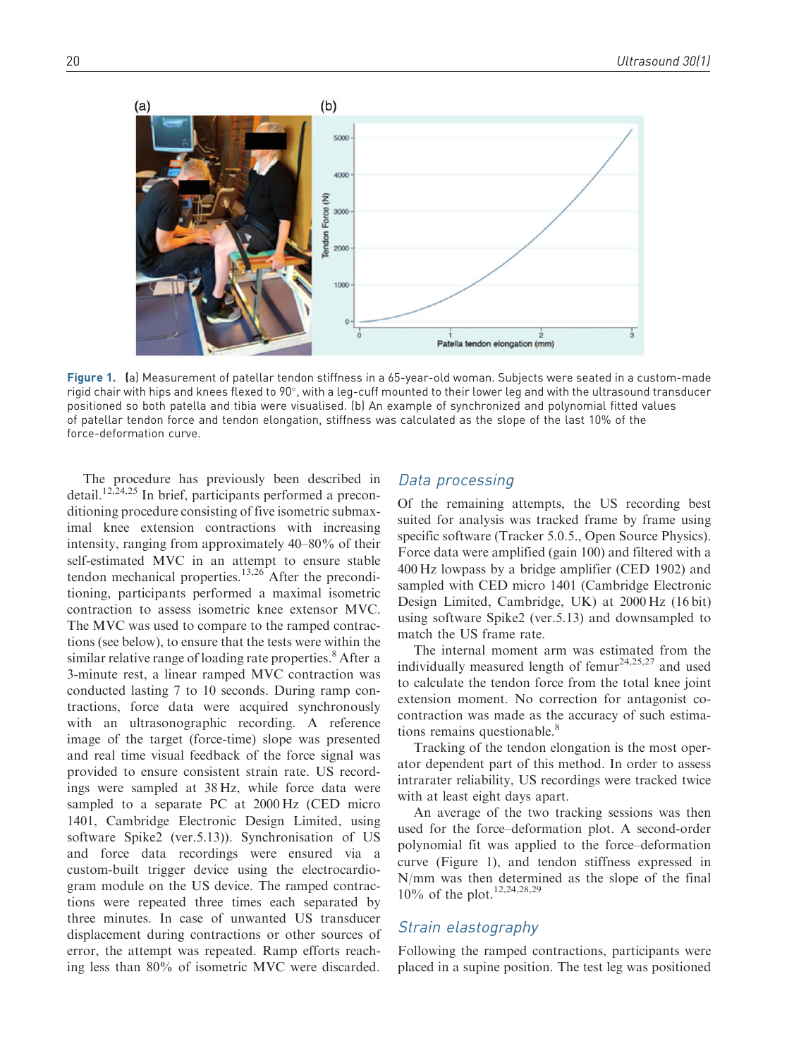

Figure 1. (a) Measurement of patellar tendon stiffness in a 65-year-old woman. Subjects were seated in a custom-made rigid chair with hips and knees flexed to 90°, with a leg-cuff mounted to their lower leg and with the ultrasound transducer positioned so both patella and tibia were visualised. (b) An example of synchronized and polynomial fitted values of patellar tendon force and tendon elongation, stiffness was calculated as the slope of the last 10% of the force-deformation curve.

The procedure has previously been described in detail.<sup>12,24,25</sup> In brief, participants performed a preconditioning procedure consisting of five isometric submaximal knee extension contractions with increasing intensity, ranging from approximately 40–80% of their self-estimated MVC in an attempt to ensure stable tendon mechanical properties. $13,26$  After the preconditioning, participants performed a maximal isometric contraction to assess isometric knee extensor MVC. The MVC was used to compare to the ramped contractions (see below), to ensure that the tests were within the similar relative range of loading rate properties.<sup>8</sup> After a 3-minute rest, a linear ramped MVC contraction was conducted lasting 7 to 10 seconds. During ramp contractions, force data were acquired synchronously with an ultrasonographic recording. A reference image of the target (force-time) slope was presented and real time visual feedback of the force signal was provided to ensure consistent strain rate. US recordings were sampled at 38 Hz, while force data were sampled to a separate PC at 2000 Hz (CED micro 1401, Cambridge Electronic Design Limited, using software Spike2 (ver.5.13)). Synchronisation of US and force data recordings were ensured via a custom-built trigger device using the electrocardiogram module on the US device. The ramped contractions were repeated three times each separated by three minutes. In case of unwanted US transducer displacement during contractions or other sources of error, the attempt was repeated. Ramp efforts reaching less than 80% of isometric MVC were discarded.

## Data processing

Of the remaining attempts, the US recording best suited for analysis was tracked frame by frame using specific software (Tracker 5.0.5., Open Source Physics). Force data were amplified (gain 100) and filtered with a 400 Hz lowpass by a bridge amplifier (CED 1902) and sampled with CED micro 1401 (Cambridge Electronic Design Limited, Cambridge, UK) at 2000 Hz (16 bit) using software Spike2 (ver.5.13) and downsampled to match the US frame rate.

The internal moment arm was estimated from the individually measured length of femur<sup>24,25,27</sup> and used to calculate the tendon force from the total knee joint extension moment. No correction for antagonist cocontraction was made as the accuracy of such estimations remains questionable.<sup>8</sup>

Tracking of the tendon elongation is the most operator dependent part of this method. In order to assess intrarater reliability, US recordings were tracked twice with at least eight days apart.

An average of the two tracking sessions was then used for the force–deformation plot. A second-order polynomial fit was applied to the force–deformation curve (Figure 1), and tendon stiffness expressed in N/mm was then determined as the slope of the final 10% of the plot.<sup>12,24,28,29</sup>

## Strain elastography

Following the ramped contractions, participants were placed in a supine position. The test leg was positioned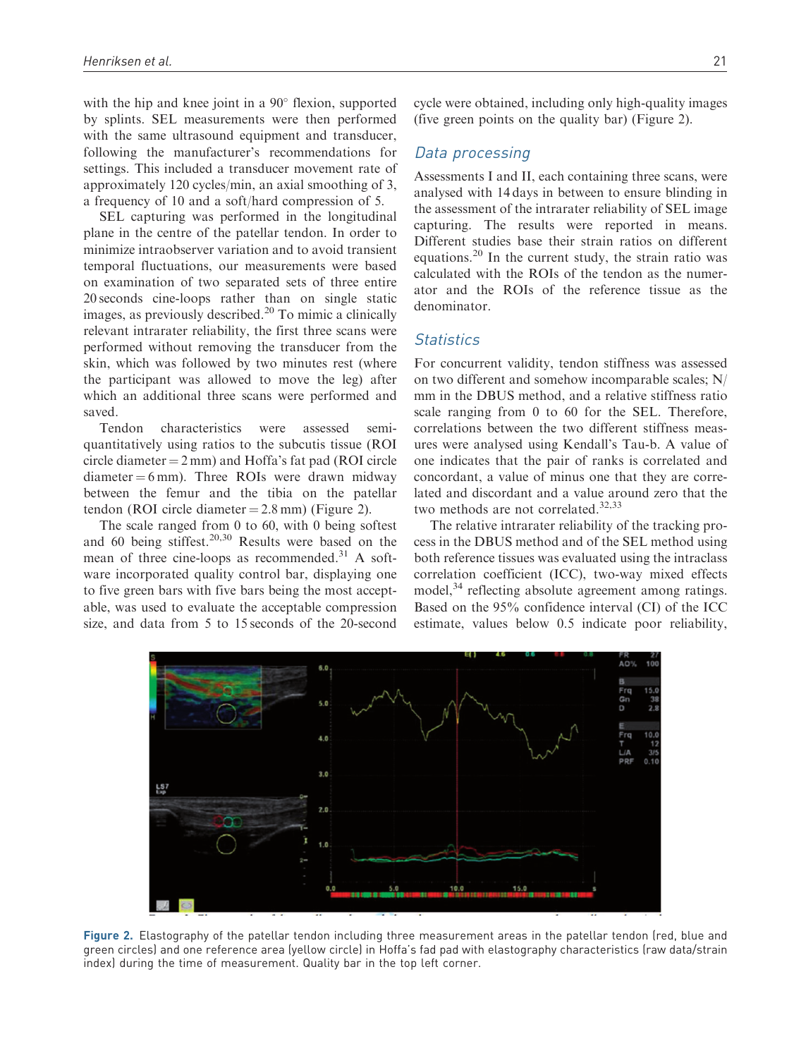with the hip and knee joint in a  $90^\circ$  flexion, supported by splints. SEL measurements were then performed with the same ultrasound equipment and transducer, following the manufacturer's recommendations for settings. This included a transducer movement rate of approximately 120 cycles/min, an axial smoothing of 3, a frequency of 10 and a soft/hard compression of 5.

SEL capturing was performed in the longitudinal plane in the centre of the patellar tendon. In order to minimize intraobserver variation and to avoid transient temporal fluctuations, our measurements were based on examination of two separated sets of three entire 20 seconds cine-loops rather than on single static images, as previously described.<sup>20</sup> To mimic a clinically relevant intrarater reliability, the first three scans were performed without removing the transducer from the skin, which was followed by two minutes rest (where the participant was allowed to move the leg) after which an additional three scans were performed and saved.

Tendon characteristics were assessed semiquantitatively using ratios to the subcutis tissue (ROI circle diameter  $= 2$  mm) and Hoffa's fat pad (ROI circle  $diameter = 6 mm$ ). Three ROIs were drawn midway between the femur and the tibia on the patellar tendon (ROI circle diameter  $= 2.8$  mm) (Figure 2).

The scale ranged from 0 to 60, with 0 being softest and 60 being stiffest.<sup>20,30</sup> Results were based on the mean of three cine-loops as recommended. $31$  A software incorporated quality control bar, displaying one to five green bars with five bars being the most acceptable, was used to evaluate the acceptable compression size, and data from 5 to 15 seconds of the 20-second

cycle were obtained, including only high-quality images (five green points on the quality bar) (Figure 2).

## Data processing

Assessments I and II, each containing three scans, were analysed with 14 days in between to ensure blinding in the assessment of the intrarater reliability of SEL image capturing. The results were reported in means. Different studies base their strain ratios on different equations.<sup>20</sup> In the current study, the strain ratio was calculated with the ROIs of the tendon as the numerator and the ROIs of the reference tissue as the denominator.

# **Statistics**

For concurrent validity, tendon stiffness was assessed on two different and somehow incomparable scales; N/ mm in the DBUS method, and a relative stiffness ratio scale ranging from 0 to 60 for the SEL. Therefore, correlations between the two different stiffness measures were analysed using Kendall's Tau-b. A value of one indicates that the pair of ranks is correlated and concordant, a value of minus one that they are correlated and discordant and a value around zero that the two methods are not correlated.<sup>32,33</sup>

The relative intrarater reliability of the tracking process in the DBUS method and of the SEL method using both reference tissues was evaluated using the intraclass correlation coefficient (ICC), two-way mixed effects model,<sup>34</sup> reflecting absolute agreement among ratings. Based on the 95% confidence interval (CI) of the ICC estimate, values below 0.5 indicate poor reliability,



Figure 2. Elastography of the patellar tendon including three measurement areas in the patellar tendon (red, blue and green circles) and one reference area (yellow circle) in Hoffa's fad pad with elastography characteristics (raw data/strain index) during the time of measurement. Quality bar in the top left corner.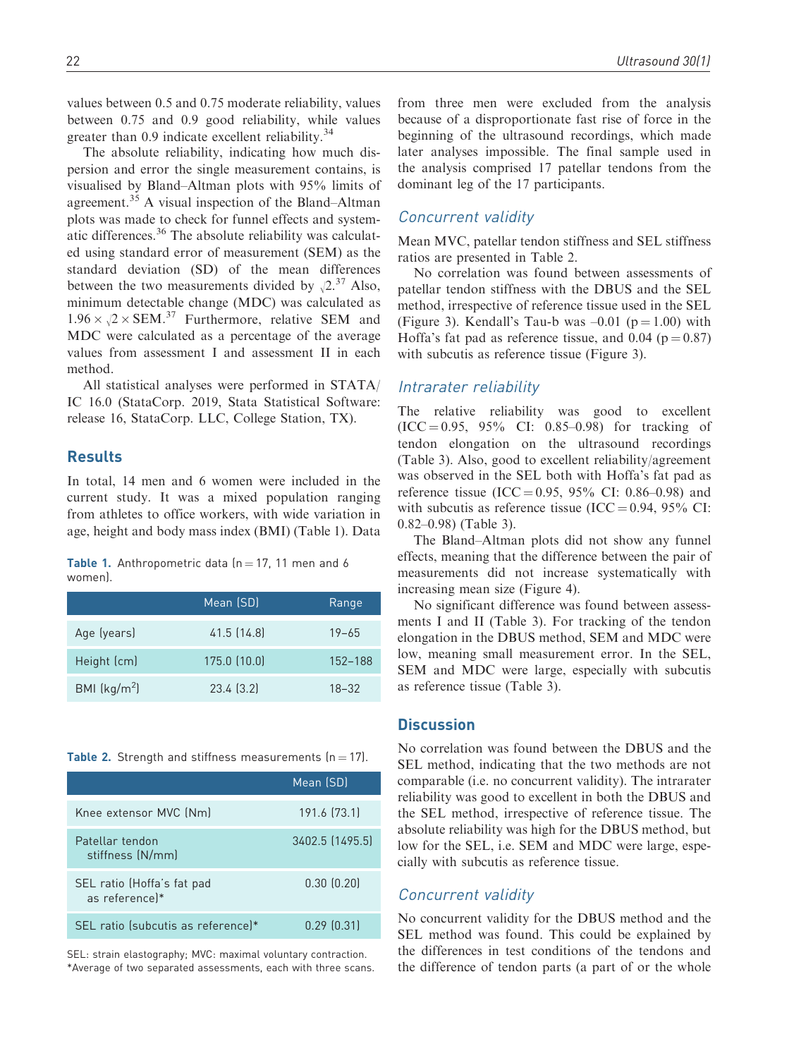greater than 0.9 indicate excellent reliability.<sup>34</sup> The absolute reliability, indicating how much dispersion and error the single measurement contains, is visualised by Bland–Altman plots with 95% limits of agreement.<sup>35</sup> A visual inspection of the Bland–Altman plots was made to check for funnel effects and systematic differences.<sup>36</sup> The absolute reliability was calculated using standard error of measurement (SEM) as the standard deviation (SD) of the mean differences between the two measurements divided by  $\sqrt{2}$ .<sup>37</sup> Also, minimum detectable change (MDC) was calculated as  $1.96 \times \sqrt{2} \times \text{SEM}^{37}$  Furthermore, relative SEM and MDC were calculated as a percentage of the average values from assessment I and assessment II in each method.

All statistical analyses were performed in STATA/ IC 16.0 (StataCorp. 2019, Stata Statistical Software: release 16, StataCorp. LLC, College Station, TX).

# Results

In total, 14 men and 6 women were included in the current study. It was a mixed population ranging from athletes to office workers, with wide variation in age, height and body mass index (BMI) (Table 1). Data

Table 1. Anthropometric data  $(n = 17, 11$  men and 6 women).

|               | Mean (SD)      | Range     |
|---------------|----------------|-----------|
| Age (years)   | 41.5 (14.8)    | $19 - 65$ |
| Height (cm)   | 175.0 (10.0)   | 152-188   |
| BMI $(kq/m2)$ | $23.4$ $(3.2)$ | $18 - 32$ |

Table 2. Strength and stiffness measurements  $(n = 17)$ .

|                                              | Mean (SD)       |
|----------------------------------------------|-----------------|
| Knee extensor MVC (Nm)                       | 191.6 (73.1)    |
| Patellar tendon<br>stiffness (N/mm)          | 3402.5 (1495.5) |
| SEL ratio (Hoffa's fat pad<br>as referencel* | 0.30(0.20)      |
| SEL ratio (subcutis as reference)*           | $0.29$ $(0.31)$ |

SEL: strain elastography; MVC: maximal voluntary contraction. \*Average of two separated assessments, each with three scans. from three men were excluded from the analysis because of a disproportionate fast rise of force in the beginning of the ultrasound recordings, which made later analyses impossible. The final sample used in the analysis comprised 17 patellar tendons from the dominant leg of the 17 participants.

# Concurrent validity

Mean MVC, patellar tendon stiffness and SEL stiffness ratios are presented in Table 2.

No correlation was found between assessments of patellar tendon stiffness with the DBUS and the SEL method, irrespective of reference tissue used in the SEL (Figure 3). Kendall's Tau-b was  $-0.01$  (p = 1.00) with Hoffa's fat pad as reference tissue, and  $0.04$  ( $p = 0.87$ ) with subcutis as reference tissue (Figure 3).

## Intrarater reliability

The relative reliability was good to excellent  $(ICC = 0.95, 95\% CI: 0.85-0.98)$  for tracking of tendon elongation on the ultrasound recordings (Table 3). Also, good to excellent reliability/agreement was observed in the SEL both with Hoffa's fat pad as reference tissue (ICC = 0.95, 95% CI: 0.86–0.98) and with subcutis as reference tissue (ICC =  $0.94$ ,  $95\%$  CI: 0.82–0.98) (Table 3).

The Bland–Altman plots did not show any funnel effects, meaning that the difference between the pair of measurements did not increase systematically with increasing mean size (Figure 4).

No significant difference was found between assessments I and II (Table 3). For tracking of the tendon elongation in the DBUS method, SEM and MDC were low, meaning small measurement error. In the SEL, SEM and MDC were large, especially with subcutis as reference tissue (Table 3).

# **Discussion**

No correlation was found between the DBUS and the SEL method, indicating that the two methods are not comparable (i.e. no concurrent validity). The intrarater reliability was good to excellent in both the DBUS and the SEL method, irrespective of reference tissue. The absolute reliability was high for the DBUS method, but low for the SEL, i.e. SEM and MDC were large, especially with subcutis as reference tissue.

## Concurrent validity

No concurrent validity for the DBUS method and the SEL method was found. This could be explained by the differences in test conditions of the tendons and the difference of tendon parts (a part of or the whole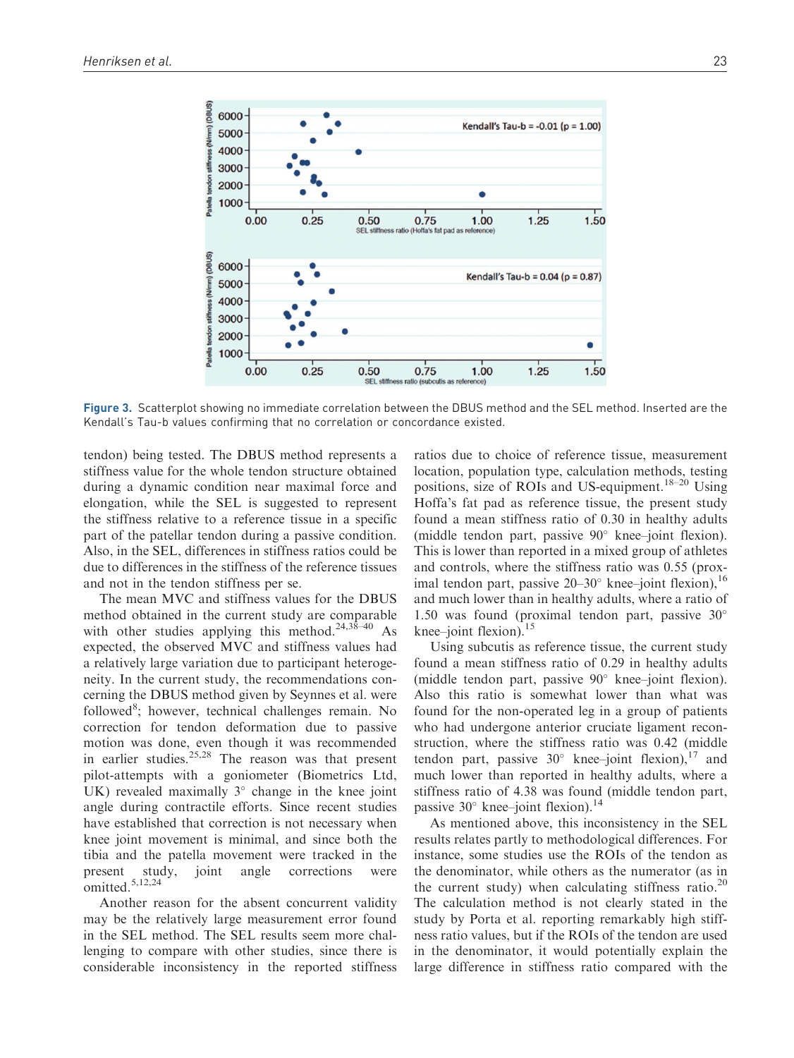

Figure 3. Scatterplot showing no immediate correlation between the DBUS method and the SEL method. Inserted are the Kendall's Tau-b values confirming that no correlation or concordance existed.

tendon) being tested. The DBUS method represents a stiffness value for the whole tendon structure obtained during a dynamic condition near maximal force and elongation, while the SEL is suggested to represent the stiffness relative to a reference tissue in a specific part of the patellar tendon during a passive condition. Also, in the SEL, differences in stiffness ratios could be due to differences in the stiffness of the reference tissues and not in the tendon stiffness per se.

The mean MVC and stiffness values for the DBUS method obtained in the current study are comparable with other studies applying this method.<sup>24,38-40</sup> As expected, the observed MVC and stiffness values had a relatively large variation due to participant heterogeneity. In the current study, the recommendations concerning the DBUS method given by Seynnes et al. were followed<sup>8</sup>; however, technical challenges remain. No correction for tendon deformation due to passive motion was done, even though it was recommended in earlier studies.<sup>25,28</sup> The reason was that present pilot-attempts with a goniometer (Biometrics Ltd, UK) revealed maximally  $3^\circ$  change in the knee joint angle during contractile efforts. Since recent studies have established that correction is not necessary when knee joint movement is minimal, and since both the tibia and the patella movement were tracked in the present study, joint angle corrections were omitted.<sup>5,12,24</sup>

Another reason for the absent concurrent validity may be the relatively large measurement error found in the SEL method. The SEL results seem more challenging to compare with other studies, since there is considerable inconsistency in the reported stiffness

ratios due to choice of reference tissue, measurement location, population type, calculation methods, testing positions, size of ROIs and US-equipment.<sup>18–20</sup> Using Hoffa's fat pad as reference tissue, the present study found a mean stiffness ratio of 0.30 in healthy adults (middle tendon part, passive  $90^\circ$  knee–joint flexion). This is lower than reported in a mixed group of athletes and controls, where the stiffness ratio was 0.55 (proximal tendon part, passive  $20-30^\circ$  knee–joint flexion),  $^{16}$ and much lower than in healthy adults, where a ratio of 1.50 was found (proximal tendon part, passive 30 knee–joint flexion). $15$ 

Using subcutis as reference tissue, the current study found a mean stiffness ratio of 0.29 in healthy adults (middle tendon part, passive  $90^\circ$  knee–joint flexion). Also this ratio is somewhat lower than what was found for the non-operated leg in a group of patients who had undergone anterior cruciate ligament reconstruction, where the stiffness ratio was 0.42 (middle tendon part, passive  $30^{\circ}$  knee–joint flexion),<sup>17</sup> and much lower than reported in healthy adults, where a stiffness ratio of 4.38 was found (middle tendon part, passive  $30^{\circ}$  knee–joint flexion).<sup>14</sup>

As mentioned above, this inconsistency in the SEL results relates partly to methodological differences. For instance, some studies use the ROIs of the tendon as the denominator, while others as the numerator (as in the current study) when calculating stiffness ratio. $20$ The calculation method is not clearly stated in the study by Porta et al. reporting remarkably high stiffness ratio values, but if the ROIs of the tendon are used in the denominator, it would potentially explain the large difference in stiffness ratio compared with the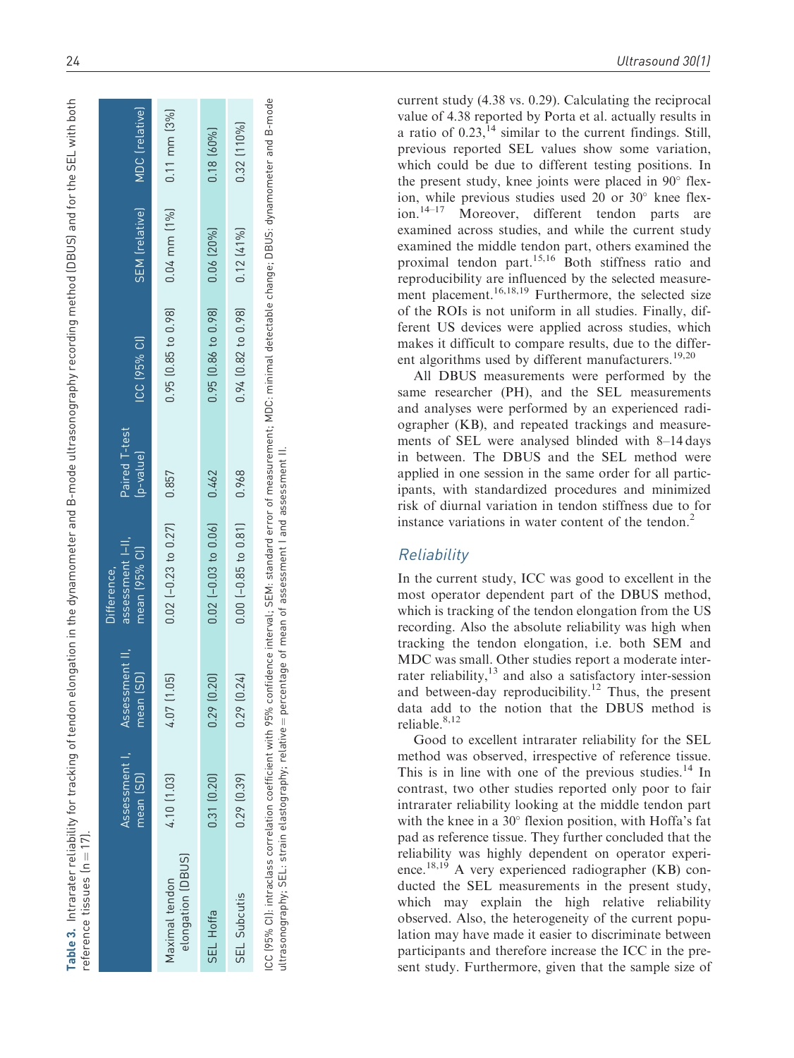| Ś                             |             |
|-------------------------------|-------------|
|                               |             |
| ī                             |             |
| .<br>-<br>-<br>-<br>.         |             |
|                               |             |
| i<br>J                        |             |
| DI ICI<br>)                   |             |
| )<br>]<br>]<br>$\frac{1}{1}$  |             |
| Ś                             |             |
| 1+22                          |             |
| ì<br>i                        |             |
|                               |             |
| י<br>נ                        |             |
| S<br>s<br>Z                   |             |
|                               |             |
| --------                      |             |
|                               |             |
|                               |             |
| mometer and K-m<br>ĺ          |             |
|                               |             |
|                               |             |
|                               |             |
| יהמווה ה                      |             |
|                               |             |
|                               |             |
| Í                             |             |
| $\bar{c}$<br>į<br>7<br>l<br>S |             |
| ţ                             |             |
| l<br>$\overline{\phantom{a}}$ |             |
|                               |             |
| ļ                             |             |
| ţ                             |             |
| :<br>;<br>-<br>-<br>-         |             |
| $\overline{\phantom{a}}$<br>l | t<br>l<br>l |
| ۲<br>سا<br>1<br>١             |             |
| $+ 100 - 100 +$               |             |
| نة<br>م                       |             |
|                               | l<br>l      |
|                               | l<br>ׇ֚֬֡֡  |

|                                                                                                                                                                                                                                                                                              | Assessment I,<br>mean (SD) | Assessment II,<br>mean (SD) | assessment I-II,<br>mean (95% CI)<br>Difference. | Paired T-test<br>(p-value) | ICC (95% CI)              | SEM [relative]    | MDC (relative)    |
|----------------------------------------------------------------------------------------------------------------------------------------------------------------------------------------------------------------------------------------------------------------------------------------------|----------------------------|-----------------------------|--------------------------------------------------|----------------------------|---------------------------|-------------------|-------------------|
| elongation [DBUS]<br>Maximal tendon                                                                                                                                                                                                                                                          | 4.10 [1.03]                | (50)<br>4.07 [1             | $0.02$ (-0.23 to 0.27)                           | 0.857                      | $0.95$ $(0.85$ to $0.98$  | $0.04$ mm $(1\%)$ | $0.11$ mm $(3\%)$ |
| SEL Hoffa                                                                                                                                                                                                                                                                                    | 0.31(0.20)                 | 0.29(0.20)                  | $0.02$ $[-0.03$ to $0.06]$                       | 0.462                      | $0.95$ $(0.86$ to $0.98$  | $0.06$ $(20\%)$   | $0.18 [60\%]$     |
| SEL Subcutis                                                                                                                                                                                                                                                                                 | $0.29$ $(0.39)$            | 0.29(0.24)                  | $0.00$ $(-0.85$ to $0.81)$                       | 0.968                      | $0.94$ $(0.82$ to $0.98)$ | 0.12(41%)         | 0.32 [110%]       |
| ICC (95% CI): intraclass correlation coefficient with 95% confidence interval; SEM: standard error of measurement; MDC: minimal detectable change; DBUS: dynamometer and B-mode<br>ultraconorranby: SEL strain elastography: relative — perceptage of meap of assessment l'and assessment ll |                            |                             |                                                  |                            |                           |                   |                   |

 $\dot{=}$ ultrasonography; SEL: strain elastography; relative ¼ percentage of mean of assessment I and assessment II. n d<br>Ta n<br>T 5 near 5 abe Ī apny; ā e läs  $\frac{1}{10}$ 5 i<br>P apny; inau JOSE Ë

current study (4.38 vs. 0.29). Calculating the reciprocal value of 4.38 reported by Porta et al. actually results in a ratio of  $0.23$ ,<sup>14</sup> similar to the current findings. Still, previous reported SEL values show some variation, which could be due to different testing positions. In the present study, knee joints were placed in  $90^\circ$  flexion, while previous studies used 20 or  $30^\circ$  knee flexion.<sup>14–17</sup> Moreover, different tendon parts are examined across studies, and while the current study examined the middle tendon part, others examined the proximal tendon part.15,16 Both stiffness ratio and reproducibility are influenced by the selected measurement placement.<sup>16,18,19</sup> Furthermore, the selected size of the ROIs is not uniform in all studies. Finally, different US devices were applied across studies, which makes it difficult to compare results, due to the different algorithms used by different manufacturers.<sup>19,20</sup>

All DBUS measurements were performed by the same researcher (PH), and the SEL measurements and analyses were performed by an experienced radiographer (KB), and repeated trackings and measurements of SEL were analysed blinded with 8–14 days in between. The DBUS and the SEL method were applied in one session in the same order for all participants, with standardized procedures and minimized risk of diurnal variation in tendon stiffness due to for instance variations in water content of the tendon. 2

# **Reliability**

In the current study, ICC was good to excellent in the most operator dependent part of the DBUS method, which is tracking of the tendon elongation from the US recording. Also the absolute reliability was high when tracking the tendon elongation, i.e. both SEM and MDC was small. Other studies report a moderate interrater reliability, $13$  and also a satisfactory inter-session and between-day reproducibility.<sup>12</sup> Thus, the present data add to the notion that the DBUS method is reliable.<sup>8,12</sup>

Good to excellent intrarater reliability for the SEL method was observed, irrespective of reference tissue. This is in line with one of the previous studies. $14$  In contrast, two other studies reported only poor to fair intrarater reliability looking at the middle tendon part with the knee in a 30° flexion position, with Hoffa's fat pad as reference tissue. They further concluded that the reliability was highly dependent on operator experience.<sup>18,19</sup> A very experienced radiographer (KB) conducted the SEL measurements in the present study, which may explain the high relative reliability observed. Also, the heterogeneity of the current population may have made it easier to discriminate between participants and therefore increase the ICC in the present study. Furthermore, given that the sample size of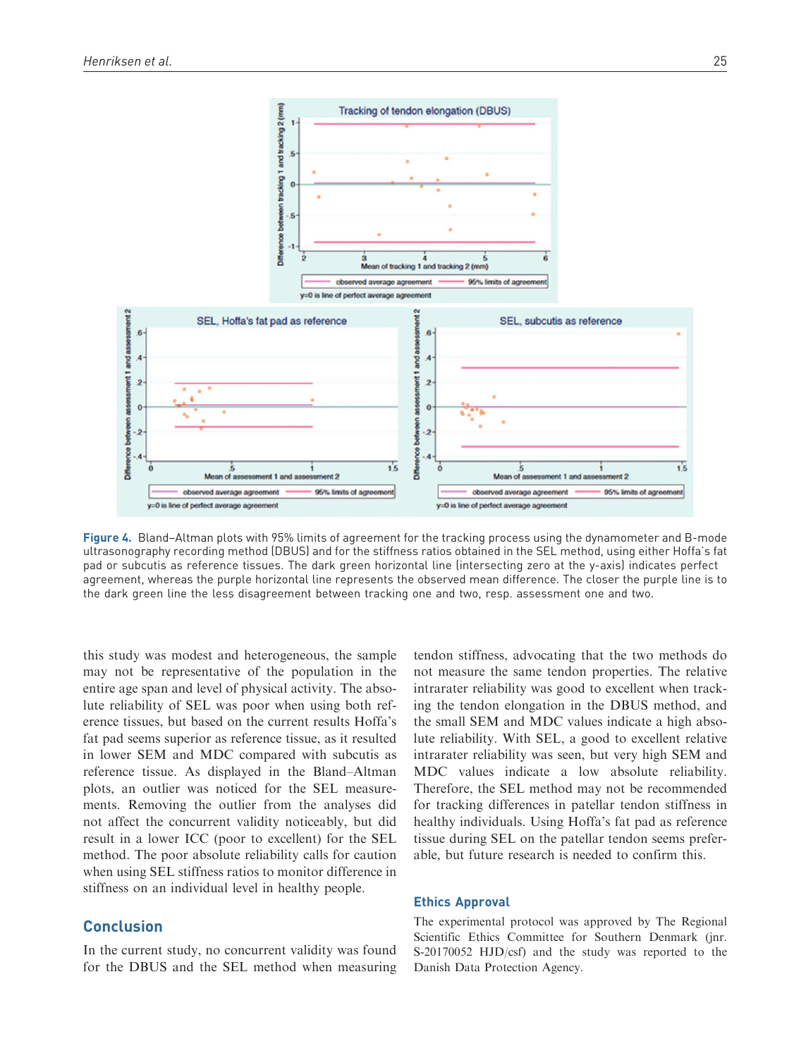

Figure 4. Bland-Altman plots with 95% limits of agreement for the tracking process using the dynamometer and B-mode ultrasonography recording method (DBUS) and for the stiffness ratios obtained in the SEL method, using either Hoffa's fat pad or subcutis as reference tissues. The dark green horizontal line (intersecting zero at the y-axis) indicates perfect agreement, whereas the purple horizontal line represents the observed mean difference. The closer the purple line is to the dark green line the less disagreement between tracking one and two, resp. assessment one and two.

this study was modest and heterogeneous, the sample may not be representative of the population in the entire age span and level of physical activity. The absolute reliability of SEL was poor when using both reference tissues, but based on the current results Hoffa's fat pad seems superior as reference tissue, as it resulted in lower SEM and MDC compared with subcutis as reference tissue. As displayed in the Bland–Altman plots, an outlier was noticed for the SEL measurements. Removing the outlier from the analyses did not affect the concurrent validity noticeably, but did result in a lower ICC (poor to excellent) for the SEL method. The poor absolute reliability calls for caution when using SEL stiffness ratios to monitor difference in stiffness on an individual level in healthy people.

## Conclusion

In the current study, no concurrent validity was found for the DBUS and the SEL method when measuring

tendon stiffness, advocating that the two methods do not measure the same tendon properties. The relative intrarater reliability was good to excellent when tracking the tendon elongation in the DBUS method, and the small SEM and MDC values indicate a high absolute reliability. With SEL, a good to excellent relative intrarater reliability was seen, but very high SEM and MDC values indicate a low absolute reliability. Therefore, the SEL method may not be recommended for tracking differences in patellar tendon stiffness in healthy individuals. Using Hoffa's fat pad as reference tissue during SEL on the patellar tendon seems preferable, but future research is needed to confirm this.

#### Ethics Approval

The experimental protocol was approved by The Regional Scientific Ethics Committee for Southern Denmark (jnr. S-20170052 HJD/csf) and the study was reported to the Danish Data Protection Agency.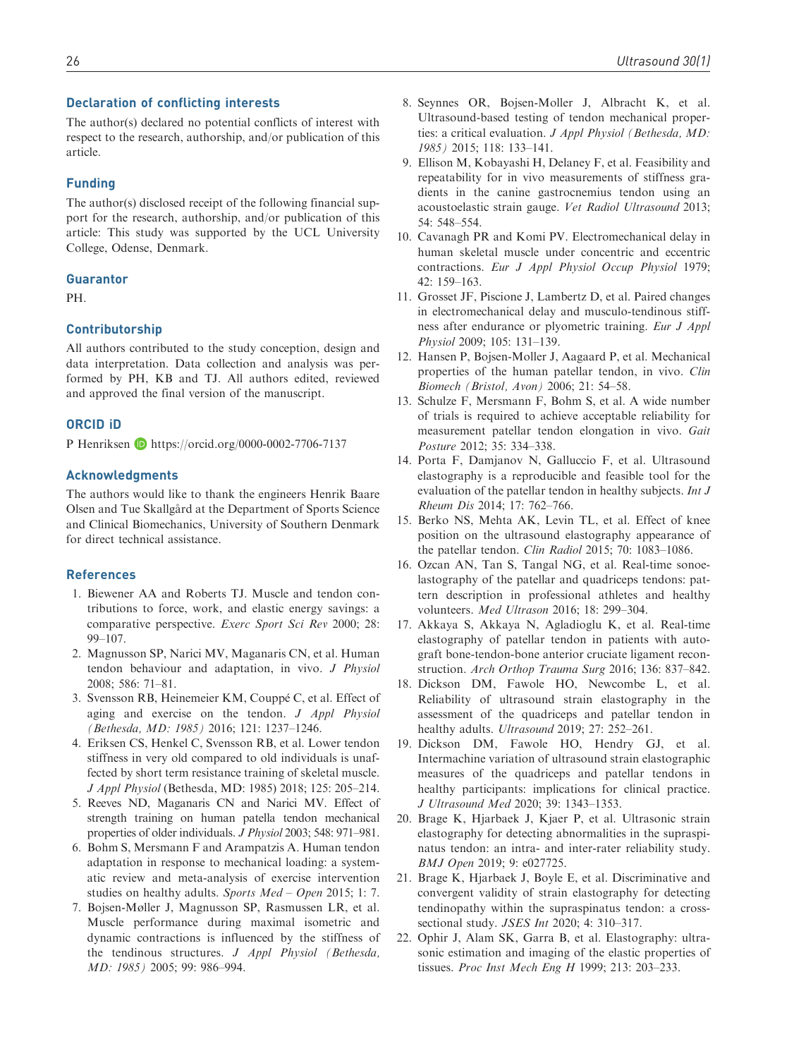## Declaration of conflicting interests

The author(s) declared no potential conflicts of interest with respect to the research, authorship, and/or publication of this article.

## Funding

The author(s) disclosed receipt of the following financial support for the research, authorship, and/or publication of this article: This study was supported by the UCL University College, Odense, Denmark.

## Guarantor

PH.

### Contributorship

All authors contributed to the study conception, design and data interpretation. Data collection and analysis was performed by PH, KB and TJ. All authors edited, reviewed and approved the final version of the manuscript.

## ORCID iD

P Henriksen D https://orcid.org/0000-0002-7706-7137

#### Acknowledgments

The authors would like to thank the engineers Henrik Baare Olsen and Tue Skallgård at the Department of Sports Science and Clinical Biomechanics, University of Southern Denmark for direct technical assistance.

### References

- 1. Biewener AA and Roberts TJ. Muscle and tendon contributions to force, work, and elastic energy savings: a comparative perspective. Exerc Sport Sci Rev 2000; 28: 99–107.
- 2. Magnusson SP, Narici MV, Maganaris CN, et al. Human tendon behaviour and adaptation, in vivo. J Physiol 2008; 586: 71–81.
- 3. Svensson RB, Heinemeier KM, Couppé C, et al. Effect of aging and exercise on the tendon. J Appl Physiol (Bethesda, MD: 1985) 2016; 121: 1237–1246.
- 4. Eriksen CS, Henkel C, Svensson RB, et al. Lower tendon stiffness in very old compared to old individuals is unaffected by short term resistance training of skeletal muscle. J Appl Physiol (Bethesda, MD: 1985) 2018; 125: 205–214.
- 5. Reeves ND, Maganaris CN and Narici MV. Effect of strength training on human patella tendon mechanical properties of older individuals. J Physiol 2003; 548: 971–981.
- 6. Bohm S, Mersmann F and Arampatzis A. Human tendon adaptation in response to mechanical loading: a systematic review and meta-analysis of exercise intervention studies on healthy adults. Sports Med - Open 2015; 1: 7.
- 7. Bojsen-Møller J, Magnusson SP, Rasmussen LR, et al. Muscle performance during maximal isometric and dynamic contractions is influenced by the stiffness of the tendinous structures. J Appl Physiol (Bethesda, MD: 1985) 2005; 99: 986–994.
- 8. Seynnes OR, Bojsen-Moller J, Albracht K, et al. Ultrasound-based testing of tendon mechanical properties: a critical evaluation. J Appl Physiol (Bethesda, MD: 1985) 2015; 118: 133–141.
- 9. Ellison M, Kobayashi H, Delaney F, et al. Feasibility and repeatability for in vivo measurements of stiffness gradients in the canine gastrocnemius tendon using an acoustoelastic strain gauge. Vet Radiol Ultrasound 2013; 54: 548–554.
- 10. Cavanagh PR and Komi PV. Electromechanical delay in human skeletal muscle under concentric and eccentric contractions. Eur J Appl Physiol Occup Physiol 1979; 42: 159–163.
- 11. Grosset JF, Piscione J, Lambertz D, et al. Paired changes in electromechanical delay and musculo-tendinous stiffness after endurance or plyometric training. Eur J Appl Physiol 2009; 105: 131–139.
- 12. Hansen P, Bojsen-Moller J, Aagaard P, et al. Mechanical properties of the human patellar tendon, in vivo. Clin Biomech (Bristol, Avon) 2006; 21: 54–58.
- 13. Schulze F, Mersmann F, Bohm S, et al. A wide number of trials is required to achieve acceptable reliability for measurement patellar tendon elongation in vivo. Gait Posture 2012; 35: 334–338.
- 14. Porta F, Damjanov N, Galluccio F, et al. Ultrasound elastography is a reproducible and feasible tool for the evaluation of the patellar tendon in healthy subjects. Int J Rheum Dis 2014; 17: 762–766.
- 15. Berko NS, Mehta AK, Levin TL, et al. Effect of knee position on the ultrasound elastography appearance of the patellar tendon. Clin Radiol 2015; 70: 1083–1086.
- 16. Ozcan AN, Tan S, Tangal NG, et al. Real-time sonoelastography of the patellar and quadriceps tendons: pattern description in professional athletes and healthy volunteers. Med Ultrason 2016; 18: 299–304.
- 17. Akkaya S, Akkaya N, Agladioglu K, et al. Real-time elastography of patellar tendon in patients with autograft bone-tendon-bone anterior cruciate ligament reconstruction. Arch Orthop Trauma Surg 2016; 136: 837–842.
- 18. Dickson DM, Fawole HO, Newcombe L, et al. Reliability of ultrasound strain elastography in the assessment of the quadriceps and patellar tendon in healthy adults. Ultrasound 2019; 27: 252-261.
- 19. Dickson DM, Fawole HO, Hendry GJ, et al. Intermachine variation of ultrasound strain elastographic measures of the quadriceps and patellar tendons in healthy participants: implications for clinical practice. J Ultrasound Med 2020; 39: 1343–1353.
- 20. Brage K, Hjarbaek J, Kjaer P, et al. Ultrasonic strain elastography for detecting abnormalities in the supraspinatus tendon: an intra- and inter-rater reliability study. BMJ Open 2019; 9: e027725.
- 21. Brage K, Hjarbaek J, Boyle E, et al. Discriminative and convergent validity of strain elastography for detecting tendinopathy within the supraspinatus tendon: a crosssectional study. JSES Int 2020; 4: 310–317.
- 22. Ophir J, Alam SK, Garra B, et al. Elastography: ultrasonic estimation and imaging of the elastic properties of tissues. Proc Inst Mech Eng H 1999; 213: 203–233.